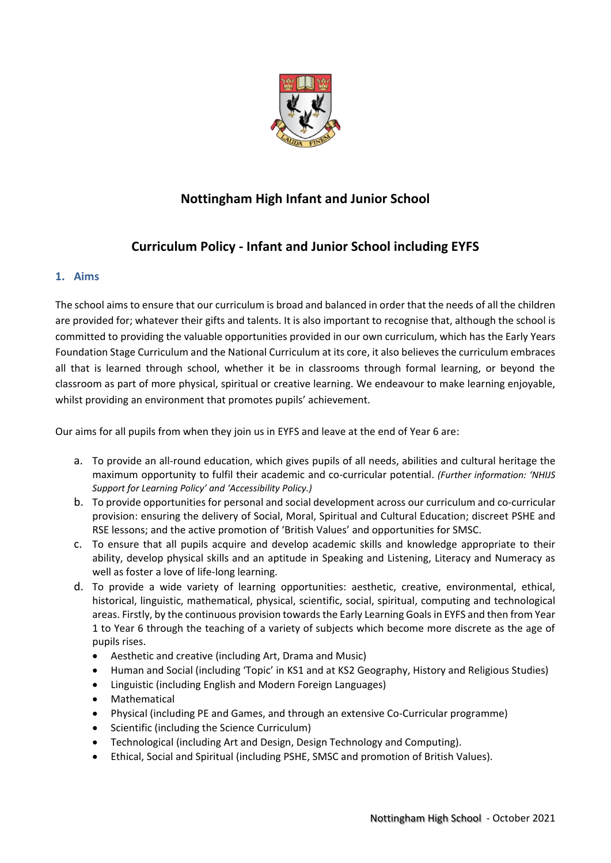

# **Nottingham High Infant and Junior School**

## **Curriculum Policy - Infant and Junior School including EYFS**

## **1. Aims**

The school aims to ensure that our curriculum is broad and balanced in order that the needs of all the children are provided for; whatever their gifts and talents. It is also important to recognise that, although the school is committed to providing the valuable opportunities provided in our own curriculum, which has the Early Years Foundation Stage Curriculum and the National Curriculum at its core, it also believes the curriculum embraces all that is learned through school, whether it be in classrooms through formal learning, or beyond the classroom as part of more physical, spiritual or creative learning. We endeavour to make learning enjoyable, whilst providing an environment that promotes pupils' achievement.

Our aims for all pupils from when they join us in EYFS and leave at the end of Year 6 are:

- a. To provide an all-round education, which gives pupils of all needs, abilities and cultural heritage the maximum opportunity to fulfil their academic and co-curricular potential. *(Further information: 'NHIJS Support for Learning Policy' and 'Accessibility Policy.)*
- b. To provide opportunities for personal and social development across our curriculum and co-curricular provision: ensuring the delivery of Social, Moral, Spiritual and Cultural Education; discreet PSHE and RSE lessons; and the active promotion of 'British Values' and opportunities for SMSC.
- c. To ensure that all pupils acquire and develop academic skills and knowledge appropriate to their ability, develop physical skills and an aptitude in Speaking and Listening, Literacy and Numeracy as well as foster a love of life-long learning.
- d. To provide a wide variety of learning opportunities: aesthetic, creative, environmental, ethical, historical, linguistic, mathematical, physical, scientific, social, spiritual, computing and technological areas. Firstly, by the continuous provision towards the Early Learning Goals in EYFS and then from Year 1 to Year 6 through the teaching of a variety of subjects which become more discrete as the age of pupils rises.
	- Aesthetic and creative (including Art, Drama and Music)
	- Human and Social (including 'Topic' in KS1 and at KS2 Geography, History and Religious Studies)
	- Linguistic (including English and Modern Foreign Languages)
	- Mathematical
	- Physical (including PE and Games, and through an extensive Co-Curricular programme)
	- Scientific (including the Science Curriculum)
	- Technological (including Art and Design, Design Technology and Computing).
	- Ethical, Social and Spiritual (including PSHE, SMSC and promotion of British Values).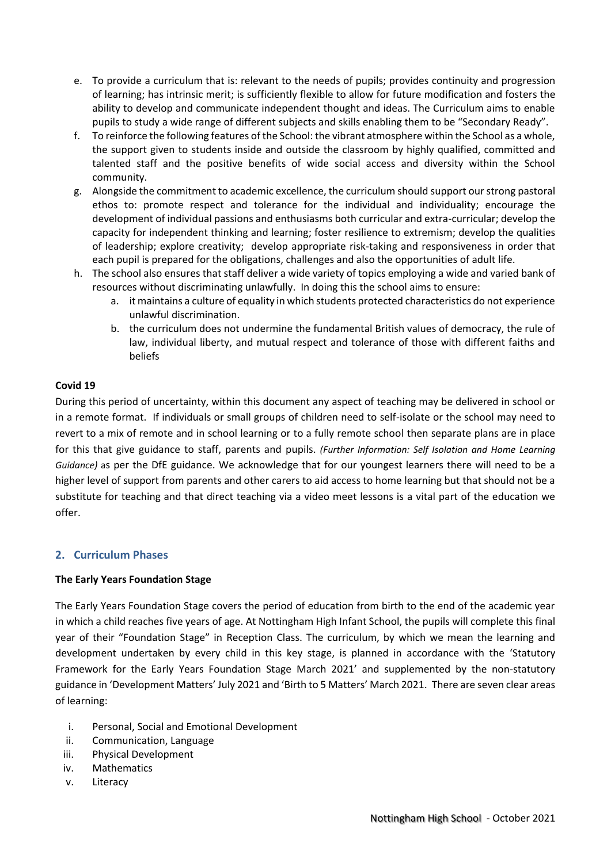- e. To provide a curriculum that is: relevant to the needs of pupils; provides continuity and progression of learning; has intrinsic merit; is sufficiently flexible to allow for future modification and fosters the ability to develop and communicate independent thought and ideas. The Curriculum aims to enable pupils to study a wide range of different subjects and skills enabling them to be "Secondary Ready".
- f. To reinforce the following features of the School: the vibrant atmosphere within the School as a whole, the support given to students inside and outside the classroom by highly qualified, committed and talented staff and the positive benefits of wide social access and diversity within the School community.
- g. Alongside the commitment to academic excellence, the curriculum should support our strong pastoral ethos to: promote respect and tolerance for the individual and individuality; encourage the development of individual passions and enthusiasms both curricular and extra-curricular; develop the capacity for independent thinking and learning; foster resilience to extremism; develop the qualities of leadership; explore creativity; develop appropriate risk-taking and responsiveness in order that each pupil is prepared for the obligations, challenges and also the opportunities of adult life.
- h. The school also ensures that staff deliver a wide variety of topics employing a wide and varied bank of resources without discriminating unlawfully. In doing this the school aims to ensure:
	- a. it maintains a culture of equality in which students protected characteristics do not experience unlawful discrimination.
	- b. the curriculum does not undermine the fundamental British values of democracy, the rule of law, individual liberty, and mutual respect and tolerance of those with different faiths and beliefs

## **Covid 19**

During this period of uncertainty, within this document any aspect of teaching may be delivered in school or in a remote format. If individuals or small groups of children need to self-isolate or the school may need to revert to a mix of remote and in school learning or to a fully remote school then separate plans are in place for this that give guidance to staff, parents and pupils. *(Further Information: Self Isolation and Home Learning Guidance)* as per the DfE guidance. We acknowledge that for our youngest learners there will need to be a higher level of support from parents and other carers to aid access to home learning but that should not be a substitute for teaching and that direct teaching via a video meet lessons is a vital part of the education we offer.

## **2. Curriculum Phases**

## **The Early Years Foundation Stage**

The Early Years Foundation Stage covers the period of education from birth to the end of the academic year in which a child reaches five years of age. At Nottingham High Infant School, the pupils will complete this final year of their "Foundation Stage" in Reception Class. The curriculum, by which we mean the learning and development undertaken by every child in this key stage, is planned in accordance with the 'Statutory Framework for the Early Years Foundation Stage March 2021' and supplemented by the non-statutory guidance in 'Development Matters' July 2021 and 'Birth to 5 Matters' March 2021. There are seven clear areas of learning:

- i. Personal, Social and Emotional Development
- ii. Communication, Language
- iii. Physical Development
- iv. Mathematics
- v. Literacy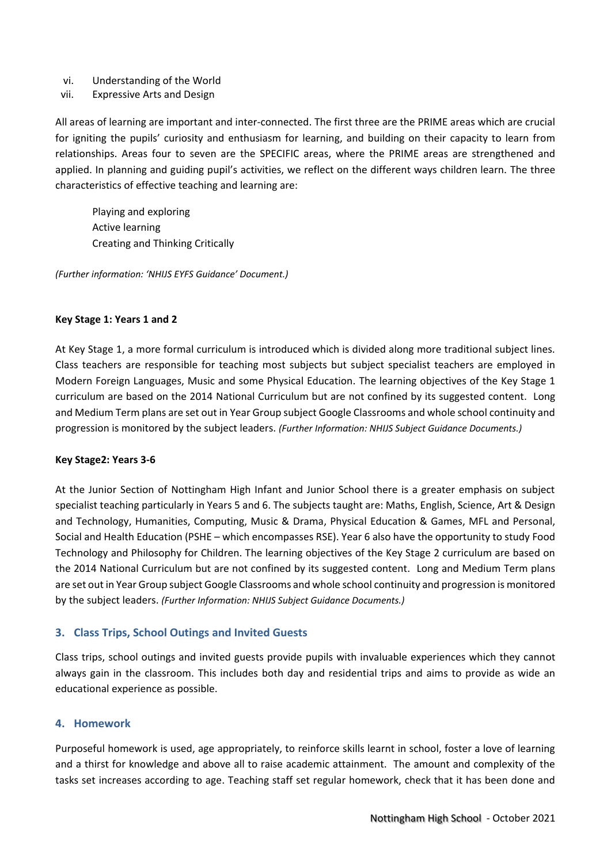- vi. Understanding of the World
- vii. Expressive Arts and Design

All areas of learning are important and inter-connected. The first three are the PRIME areas which are crucial for igniting the pupils' curiosity and enthusiasm for learning, and building on their capacity to learn from relationships. Areas four to seven are the SPECIFIC areas, where the PRIME areas are strengthened and applied. In planning and guiding pupil's activities, we reflect on the different ways children learn. The three characteristics of effective teaching and learning are:

Playing and exploring Active learning Creating and Thinking Critically

*(Further information: 'NHIJS EYFS Guidance' Document.)*

#### **Key Stage 1: Years 1 and 2**

At Key Stage 1, a more formal curriculum is introduced which is divided along more traditional subject lines. Class teachers are responsible for teaching most subjects but subject specialist teachers are employed in Modern Foreign Languages, Music and some Physical Education. The learning objectives of the Key Stage 1 curriculum are based on the 2014 National Curriculum but are not confined by its suggested content. Long and Medium Term plans are set out in Year Group subject Google Classrooms and whole school continuity and progression is monitored by the subject leaders. *(Further Information: NHIJS Subject Guidance Documents.)*

#### **Key Stage2: Years 3-6**

At the Junior Section of Nottingham High Infant and Junior School there is a greater emphasis on subject specialist teaching particularly in Years 5 and 6. The subjects taught are: Maths, English, Science, Art & Design and Technology, Humanities, Computing, Music & Drama, Physical Education & Games, MFL and Personal, Social and Health Education (PSHE – which encompasses RSE). Year 6 also have the opportunity to study Food Technology and Philosophy for Children. The learning objectives of the Key Stage 2 curriculum are based on the 2014 National Curriculum but are not confined by its suggested content. Long and Medium Term plans are set out in Year Group subject Google Classrooms and whole school continuity and progression is monitored by the subject leaders. *(Further Information: NHIJS Subject Guidance Documents.)*

#### **3. Class Trips, School Outings and Invited Guests**

Class trips, school outings and invited guests provide pupils with invaluable experiences which they cannot always gain in the classroom. This includes both day and residential trips and aims to provide as wide an educational experience as possible.

#### **4. Homework**

Purposeful homework is used, age appropriately, to reinforce skills learnt in school, foster a love of learning and a thirst for knowledge and above all to raise academic attainment. The amount and complexity of the tasks set increases according to age. Teaching staff set regular homework, check that it has been done and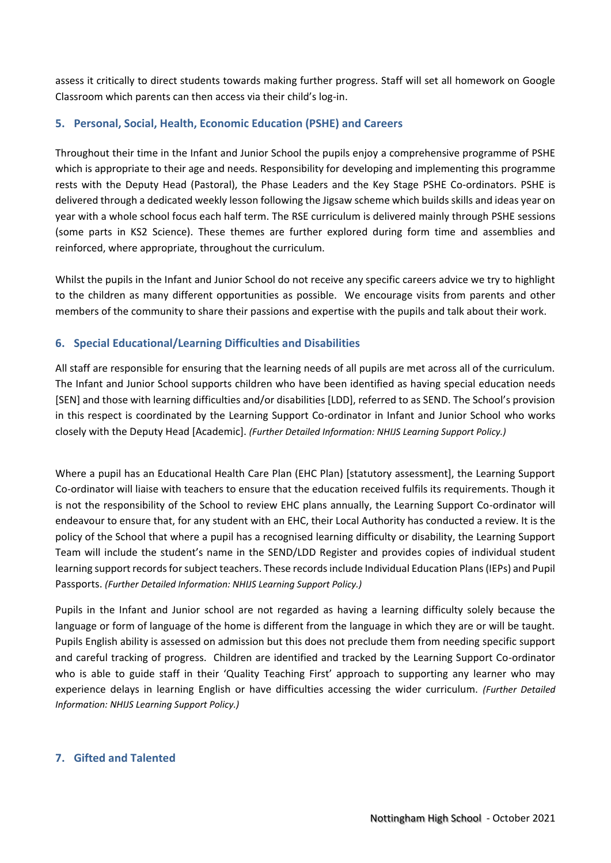assess it critically to direct students towards making further progress. Staff will set all homework on Google Classroom which parents can then access via their child's log-in.

## **5. Personal, Social, Health, Economic Education (PSHE) and Careers**

Throughout their time in the Infant and Junior School the pupils enjoy a comprehensive programme of PSHE which is appropriate to their age and needs. Responsibility for developing and implementing this programme rests with the Deputy Head (Pastoral), the Phase Leaders and the Key Stage PSHE Co-ordinators. PSHE is delivered through a dedicated weekly lesson following the Jigsaw scheme which builds skills and ideas year on year with a whole school focus each half term. The RSE curriculum is delivered mainly through PSHE sessions (some parts in KS2 Science). These themes are further explored during form time and assemblies and reinforced, where appropriate, throughout the curriculum.

Whilst the pupils in the Infant and Junior School do not receive any specific careers advice we try to highlight to the children as many different opportunities as possible. We encourage visits from parents and other members of the community to share their passions and expertise with the pupils and talk about their work.

#### **6. Special Educational/Learning Difficulties and Disabilities**

All staff are responsible for ensuring that the learning needs of all pupils are met across all of the curriculum. The Infant and Junior School supports children who have been identified as having special education needs [SEN] and those with learning difficulties and/or disabilities [LDD], referred to as SEND. The School's provision in this respect is coordinated by the Learning Support Co-ordinator in Infant and Junior School who works closely with the Deputy Head [Academic]. *(Further Detailed Information: NHIJS Learning Support Policy.)*

Where a pupil has an Educational Health Care Plan (EHC Plan) [statutory assessment], the Learning Support Co-ordinator will liaise with teachers to ensure that the education received fulfils its requirements. Though it is not the responsibility of the School to review EHC plans annually, the Learning Support Co-ordinator will endeavour to ensure that, for any student with an EHC, their Local Authority has conducted a review. It is the policy of the School that where a pupil has a recognised learning difficulty or disability, the Learning Support Team will include the student's name in the SEND/LDD Register and provides copies of individual student learning support records for subject teachers. These records include Individual Education Plans (IEPs) and Pupil Passports. *(Further Detailed Information: NHIJS Learning Support Policy.)*

Pupils in the Infant and Junior school are not regarded as having a learning difficulty solely because the language or form of language of the home is different from the language in which they are or will be taught. Pupils English ability is assessed on admission but this does not preclude them from needing specific support and careful tracking of progress. Children are identified and tracked by the Learning Support Co-ordinator who is able to guide staff in their 'Quality Teaching First' approach to supporting any learner who may experience delays in learning English or have difficulties accessing the wider curriculum. *(Further Detailed Information: NHIJS Learning Support Policy.)*

## **7. Gifted and Talented**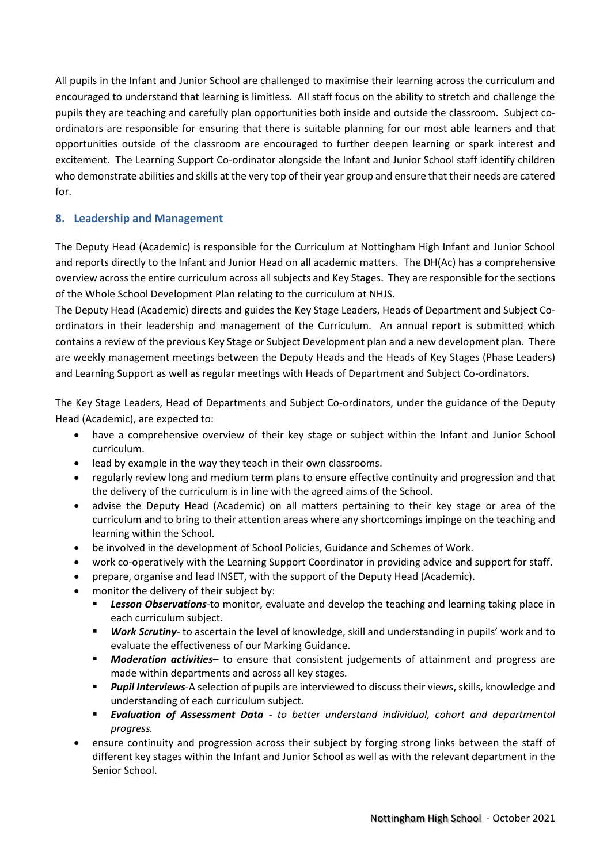All pupils in the Infant and Junior School are challenged to maximise their learning across the curriculum and encouraged to understand that learning is limitless. All staff focus on the ability to stretch and challenge the pupils they are teaching and carefully plan opportunities both inside and outside the classroom. Subject coordinators are responsible for ensuring that there is suitable planning for our most able learners and that opportunities outside of the classroom are encouraged to further deepen learning or spark interest and excitement. The Learning Support Co-ordinator alongside the Infant and Junior School staff identify children who demonstrate abilities and skills at the very top of their year group and ensure that their needs are catered for.

## **8. Leadership and Management**

The Deputy Head (Academic) is responsible for the Curriculum at Nottingham High Infant and Junior School and reports directly to the Infant and Junior Head on all academic matters. The DH(Ac) has a comprehensive overview across the entire curriculum across all subjects and Key Stages. They are responsible for the sections of the Whole School Development Plan relating to the curriculum at NHJS.

The Deputy Head (Academic) directs and guides the Key Stage Leaders, Heads of Department and Subject Coordinators in their leadership and management of the Curriculum. An annual report is submitted which contains a review of the previous Key Stage or Subject Development plan and a new development plan. There are weekly management meetings between the Deputy Heads and the Heads of Key Stages (Phase Leaders) and Learning Support as well as regular meetings with Heads of Department and Subject Co-ordinators.

The Key Stage Leaders, Head of Departments and Subject Co-ordinators, under the guidance of the Deputy Head (Academic), are expected to:

- have a comprehensive overview of their key stage or subject within the Infant and Junior School curriculum.
- lead by example in the way they teach in their own classrooms.
- regularly review long and medium term plans to ensure effective continuity and progression and that the delivery of the curriculum is in line with the agreed aims of the School.
- advise the Deputy Head (Academic) on all matters pertaining to their key stage or area of the curriculum and to bring to their attention areas where any shortcomings impinge on the teaching and learning within the School.
- be involved in the development of School Policies, Guidance and Schemes of Work.
- work co-operatively with the Learning Support Coordinator in providing advice and support for staff.
- prepare, organise and lead INSET, with the support of the Deputy Head (Academic).
- monitor the delivery of their subject by:
	- Lesson Observations-to monitor, evaluate and develop the teaching and learning taking place in each curriculum subject.
	- **EXECT** *Work Scrutiny* to ascertain the level of knowledge, skill and understanding in pupils' work and to evaluate the effectiveness of our Marking Guidance.
	- **■** *Moderation activities* to ensure that consistent judgements of attainment and progress are made within departments and across all key stages.
	- **Pupil Interviews-**A selection of pupils are interviewed to discuss their views, skills, knowledge and understanding of each curriculum subject.
	- *Evaluation of Assessment Data - to better understand individual, cohort and departmental progress.*
- ensure continuity and progression across their subject by forging strong links between the staff of different key stages within the Infant and Junior School as well as with the relevant department in the Senior School.